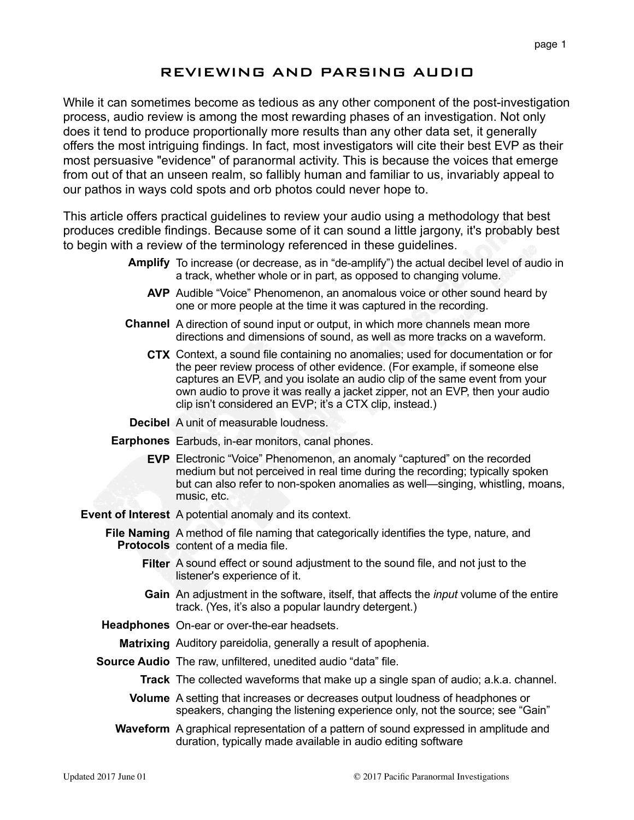# REVIEWING AND PARSING AUDIO

While it can sometimes become as tedious as any other component of the post-investigation process, audio review is among the most rewarding phases of an investigation. Not only does it tend to produce proportionally more results than any other data set, it generally offers the most intriguing findings. In fact, most investigators will cite their best EVP as their most persuasive "evidence" of paranormal activity. This is because the voices that emerge from out of that an unseen realm, so fallibly human and familiar to us, invariably appeal to our pathos in ways cold spots and orb photos could never hope to.

This article offers practical guidelines to review your audio using a methodology that best produces credible findings. Because some of it can sound a little jargony, it's probably best to begin with a review of the terminology referenced in these guidelines.

- **Amplify** To increase (or decrease, as in "de-amplify") the actual decibel level of audio in a track, whether whole or in part, as opposed to changing volume.
	- **AVP** Audible "Voice" Phenomenon, an anomalous voice or other sound heard by one or more people at the time it was captured in the recording.
- **Channel** A direction of sound input or output, in which more channels mean more directions and dimensions of sound, as well as more tracks on a waveform.
	- **CTX** Context, a sound file containing no anomalies; used for documentation or for the peer review process of other evidence. (For example, if someone else captures an EVP, and you isolate an audio clip of the same event from your own audio to prove it was really a jacket zipper, not an EVP, then your audio clip isn't considered an EVP; it's a CTX clip, instead.)
- **Decibel** A unit of measurable loudness.
- **Earphones** Earbuds, in-ear monitors, canal phones.
	- **EVP** Electronic "Voice" Phenomenon, an anomaly "captured" on the recorded medium but not perceived in real time during the recording; typically spoken but can also refer to non-spoken anomalies as well—singing, whistling, moans, music, etc.
- **Event of Interest** A potential anomaly and its context.
	- **File Naming**  A method of file naming that categorically identifies the type, nature, and **Protocols** content of a media file.
		- **Filter** A sound effect or sound adjustment to the sound file, and not just to the listener's experience of it.
		- **Gain** An adjustment in the software, itself, that affects the *input* volume of the entire track. (Yes, it's also a popular laundry detergent.)
	- **Headphones** On-ear or over-the-ear headsets.
		- **Matrixing** Auditory pareidolia, generally a result of apophenia.
	- **Source Audio** The raw, unfiltered, unedited audio "data" file.
		- **Track** The collected waveforms that make up a single span of audio; a.k.a. channel.
		- **Volume** A setting that increases or decreases output loudness of headphones or speakers, changing the listening experience only, not the source; see "Gain"
		- **Waveform** A graphical representation of a pattern of sound expressed in amplitude and duration, typically made available in audio editing software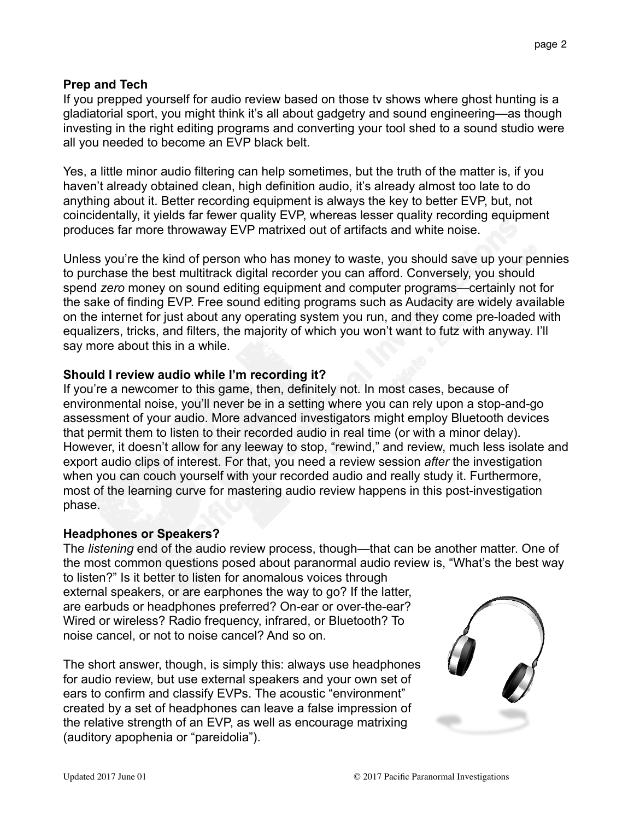## **Prep and Tech**

If you prepped yourself for audio review based on those tv shows where ghost hunting is a gladiatorial sport, you might think it's all about gadgetry and sound engineering—as though investing in the right editing programs and converting your tool shed to a sound studio were all you needed to become an EVP black belt.

Yes, a little minor audio filtering can help sometimes, but the truth of the matter is, if you haven't already obtained clean, high definition audio, it's already almost too late to do anything about it. Better recording equipment is always the key to better EVP, but, not coincidentally, it yields far fewer quality EVP, whereas lesser quality recording equipment produces far more throwaway EVP matrixed out of artifacts and white noise.

Unless you're the kind of person who has money to waste, you should save up your pennies to purchase the best multitrack digital recorder you can afford. Conversely, you should spend *zero* money on sound editing equipment and computer programs—certainly not for the sake of finding EVP. Free sound editing programs such as Audacity are widely available on the internet for just about any operating system you run, and they come pre-loaded with equalizers, tricks, and filters, the majority of which you won't want to futz with anyway. I'll say more about this in a while.

## **Should I review audio while I'm recording it?**

If you're a newcomer to this game, then, definitely not. In most cases, because of environmental noise, you'll never be in a setting where you can rely upon a stop-and-go assessment of your audio. More advanced investigators might employ Bluetooth devices that permit them to listen to their recorded audio in real time (or with a minor delay). However, it doesn't allow for any leeway to stop, "rewind," and review, much less isolate and export audio clips of interest. For that, you need a review session *after* the investigation when you can couch yourself with your recorded audio and really study it. Furthermore, most of the learning curve for mastering audio review happens in this post-investigation phase.

## **Headphones or Speakers?**

The *listening* end of the audio review process, though—that can be another matter. One of the most common questions posed about paranormal audio review is, "What's the best way to listen?" Is it better to listen for anomalous voices through

external speakers, or are earphones the way to go? If the latter, are earbuds or headphones preferred? On-ear or over-the-ear? Wired or wireless? Radio frequency, infrared, or Bluetooth? To noise cancel, or not to noise cancel? And so on.

The short answer, though, is simply this: always use headphones for audio review, but use external speakers and your own set of ears to confirm and classify EVPs. The acoustic "environment" created by a set of headphones can leave a false impression of the relative strength of an EVP, as well as encourage matrixing (auditory apophenia or "pareidolia").

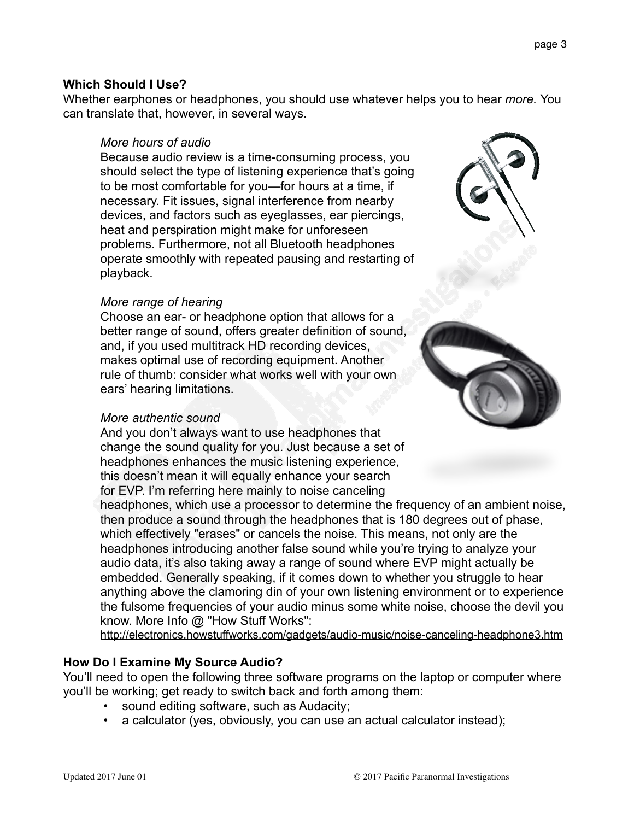# can translate that, however, in several ways.

**Which Should I Use?**

## *More hours of audio*

Because audio review is a time-consuming process, you should select the type of listening experience that's going to be most comfortable for you—for hours at a time, if necessary. Fit issues, signal interference from nearby devices, and factors such as eyeglasses, ear piercings, heat and perspiration might make for unforeseen problems. Furthermore, not all Bluetooth headphones operate smoothly with repeated pausing and restarting of playback.

Whether earphones or headphones, you should use whatever helps you to hear *more.* You

#### *More range of hearing*

Choose an ear- or headphone option that allows for a better range of sound, offers greater definition of sound, and, if you used multitrack HD recording devices, makes optimal use of recording equipment. Another rule of thumb: consider what works well with your own ears' hearing limitations.

#### *More authentic sound*

And you don't always want to use headphones that change the sound quality for you. Just because a set of headphones enhances the music listening experience, this doesn't mean it will equally enhance your search for EVP. I'm referring here mainly to noise canceling

headphones, which use a processor to determine the frequency of an ambient noise, then produce a sound through the headphones that is 180 degrees out of phase, which effectively "erases" or cancels the noise. This means, not only are the headphones introducing another false sound while you're trying to analyze your audio data, it's also taking away a range of sound where EVP might actually be embedded. Generally speaking, if it comes down to whether you struggle to hear anything above the clamoring din of your own listening environment or to experience the fulsome frequencies of your audio minus some white noise, choose the devil you know. More Info @ "How Stuff Works":

<http://electronics.howstuffworks.com/gadgets/audio-music/noise-canceling-headphone3.htm>

#### **How Do I Examine My Source Audio?**

You'll need to open the following three software programs on the laptop or computer where you'll be working; get ready to switch back and forth among them:

- sound editing software, such as Audacity;
- a calculator (yes, obviously, you can use an actual calculator instead);

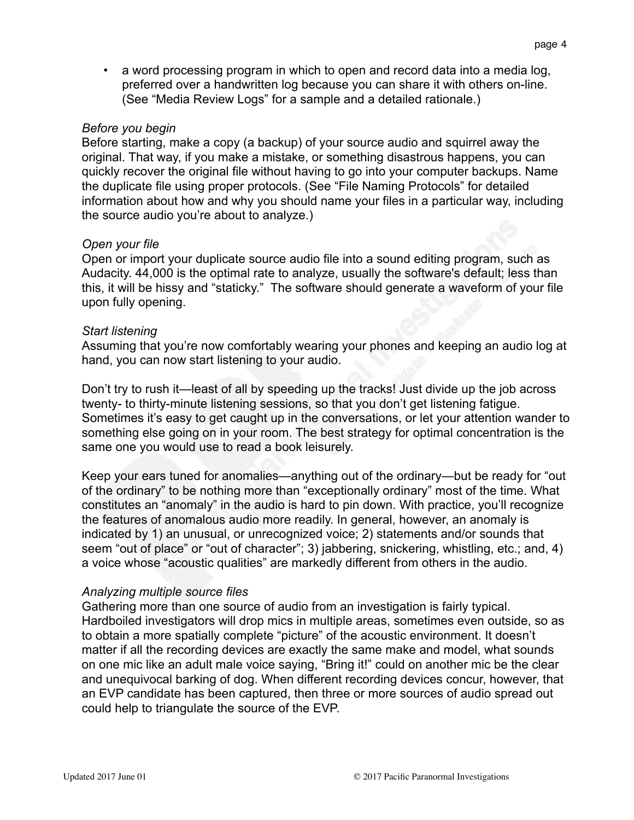• a word processing program in which to open and record data into a media log, preferred over a handwritten log because you can share it with others on-line. (See "Media Review Logs" for a sample and a detailed rationale.)

#### *Before you begin*

Before starting, make a copy (a backup) of your source audio and squirrel away the original. That way, if you make a mistake, or something disastrous happens, you can quickly recover the original file without having to go into your computer backups. Name the duplicate file using proper protocols. (See "File Naming Protocols" for detailed information about how and why you should name your files in a particular way, including the source audio you're about to analyze.)

## *Open your file*

Open or import your duplicate source audio file into a sound editing program, such as Audacity. 44,000 is the optimal rate to analyze, usually the software's default; less than this, it will be hissy and "staticky." The software should generate a waveform of your file upon fully opening.

#### *Start listening*

Assuming that you're now comfortably wearing your phones and keeping an audio log at hand, you can now start listening to your audio.

Don't try to rush it—least of all by speeding up the tracks! Just divide up the job across twenty- to thirty-minute listening sessions, so that you don't get listening fatigue. Sometimes it's easy to get caught up in the conversations, or let your attention wander to something else going on in your room. The best strategy for optimal concentration is the same one you would use to read a book leisurely.

Keep your ears tuned for anomalies—anything out of the ordinary—but be ready for "out of the ordinary" to be nothing more than "exceptionally ordinary" most of the time. What constitutes an "anomaly" in the audio is hard to pin down. With practice, you'll recognize the features of anomalous audio more readily. In general, however, an anomaly is indicated by 1) an unusual, or unrecognized voice; 2) statements and/or sounds that seem "out of place" or "out of character"; 3) jabbering, snickering, whistling, etc.; and, 4) a voice whose "acoustic qualities" are markedly different from others in the audio.

#### *Analyzing multiple source files*

Gathering more than one source of audio from an investigation is fairly typical. Hardboiled investigators will drop mics in multiple areas, sometimes even outside, so as to obtain a more spatially complete "picture" of the acoustic environment. It doesn't matter if all the recording devices are exactly the same make and model, what sounds on one mic like an adult male voice saying, "Bring it!" could on another mic be the clear and unequivocal barking of dog. When different recording devices concur, however, that an EVP candidate has been captured, then three or more sources of audio spread out could help to triangulate the source of the EVP.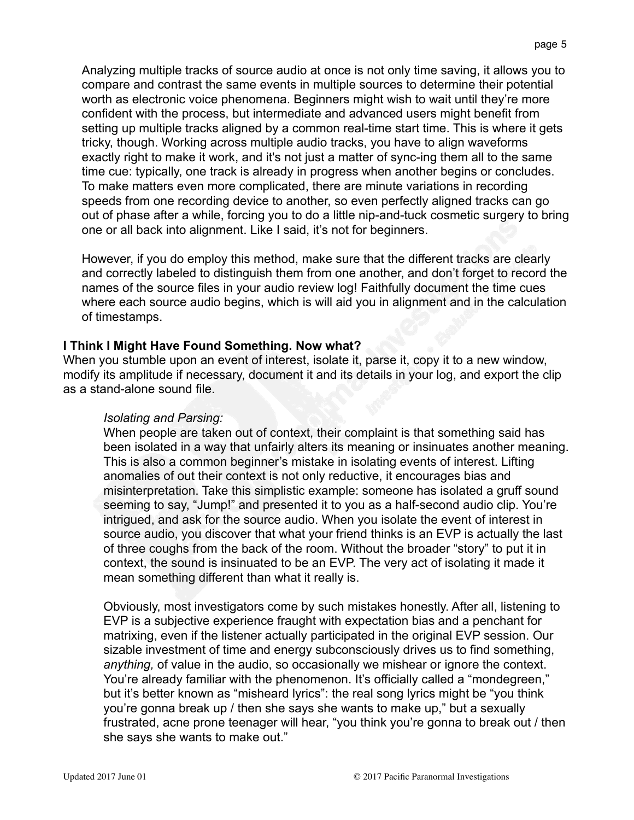Analyzing multiple tracks of source audio at once is not only time saving, it allows you to compare and contrast the same events in multiple sources to determine their potential worth as electronic voice phenomena. Beginners might wish to wait until they're more confident with the process, but intermediate and advanced users might benefit from setting up multiple tracks aligned by a common real-time start time. This is where it gets tricky, though. Working across multiple audio tracks, you have to align waveforms exactly right to make it work, and it's not just a matter of sync-ing them all to the same time cue: typically, one track is already in progress when another begins or concludes. To make matters even more complicated, there are minute variations in recording speeds from one recording device to another, so even perfectly aligned tracks can go out of phase after a while, forcing you to do a little nip-and-tuck cosmetic surgery to bring one or all back into alignment. Like I said, it's not for beginners.

However, if you do employ this method, make sure that the different tracks are clearly and correctly labeled to distinguish them from one another, and don't forget to record the names of the source files in your audio review log! Faithfully document the time cues where each source audio begins, which is will aid you in alignment and in the calculation of timestamps.

## **I Think I Might Have Found Something. Now what?**

When you stumble upon an event of interest, isolate it, parse it, copy it to a new window, modify its amplitude if necessary, document it and its details in your log, and export the clip as a stand-alone sound file.

## *Isolating and Parsing:*

When people are taken out of context, their complaint is that something said has been isolated in a way that unfairly alters its meaning or insinuates another meaning. This is also a common beginner's mistake in isolating events of interest. Lifting anomalies of out their context is not only reductive, it encourages bias and misinterpretation. Take this simplistic example: someone has isolated a gruff sound seeming to say, "Jump!" and presented it to you as a half-second audio clip. You're intrigued, and ask for the source audio. When you isolate the event of interest in source audio, you discover that what your friend thinks is an EVP is actually the last of three coughs from the back of the room. Without the broader "story" to put it in context, the sound is insinuated to be an EVP. The very act of isolating it made it mean something different than what it really is.

Obviously, most investigators come by such mistakes honestly. After all, listening to EVP is a subjective experience fraught with expectation bias and a penchant for matrixing, even if the listener actually participated in the original EVP session. Our sizable investment of time and energy subconsciously drives us to find something, *anything,* of value in the audio, so occasionally we mishear or ignore the context. You're already familiar with the phenomenon. It's officially called a "mondegreen," but it's better known as "misheard lyrics": the real song lyrics might be "you think you're gonna break up / then she says she wants to make up," but a sexually frustrated, acne prone teenager will hear, "you think you're gonna to break out / then she says she wants to make out."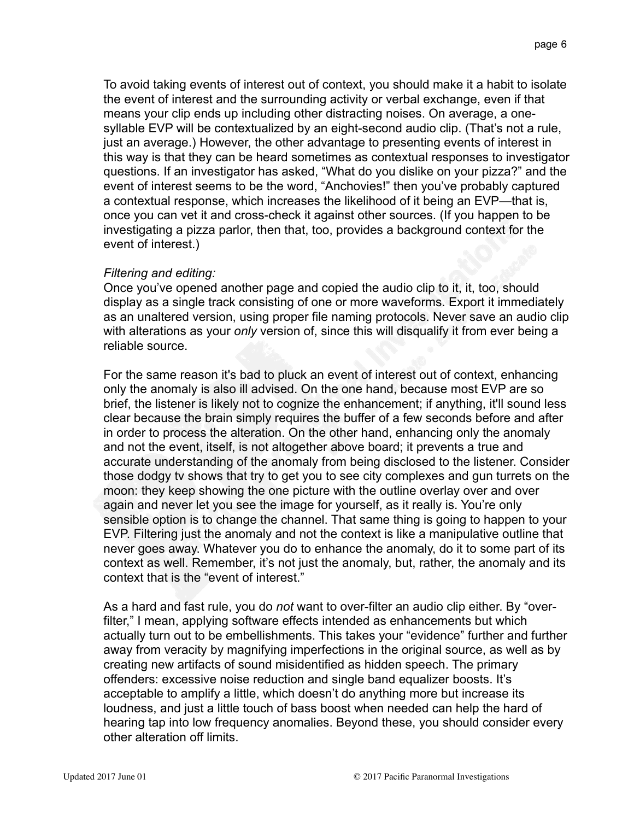To avoid taking events of interest out of context, you should make it a habit to isolate the event of interest and the surrounding activity or verbal exchange, even if that means your clip ends up including other distracting noises. On average, a onesyllable EVP will be contextualized by an eight-second audio clip. (That's not a rule, just an average.) However, the other advantage to presenting events of interest in this way is that they can be heard sometimes as contextual responses to investigator questions. If an investigator has asked, "What do you dislike on your pizza?" and the event of interest seems to be the word, "Anchovies!" then you've probably captured a contextual response, which increases the likelihood of it being an EVP—that is, once you can vet it and cross-check it against other sources. (If you happen to be investigating a pizza parlor, then that, too, provides a background context for the event of interest.)

## *Filtering and editing:*

Once you've opened another page and copied the audio clip to it, it, too, should display as a single track consisting of one or more waveforms. Export it immediately as an unaltered version, using proper file naming protocols. Never save an audio clip with alterations as your *only* version of, since this will disqualify it from ever being a reliable source.

For the same reason it's bad to pluck an event of interest out of context, enhancing only the anomaly is also ill advised. On the one hand, because most EVP are so brief, the listener is likely not to cognize the enhancement; if anything, it'll sound less clear because the brain simply requires the buffer of a few seconds before and after in order to process the alteration. On the other hand, enhancing only the anomaly and not the event, itself, is not altogether above board; it prevents a true and accurate understanding of the anomaly from being disclosed to the listener. Consider those dodgy tv shows that try to get you to see city complexes and gun turrets on the moon: they keep showing the one picture with the outline overlay over and over again and never let you see the image for yourself, as it really is. You're only sensible option is to change the channel. That same thing is going to happen to your EVP. Filtering just the anomaly and not the context is like a manipulative outline that never goes away. Whatever you do to enhance the anomaly, do it to some part of its context as well. Remember, it's not just the anomaly, but, rather, the anomaly and its context that is the "event of interest."

As a hard and fast rule, you do *not* want to over-filter an audio clip either. By "overfilter," I mean, applying software effects intended as enhancements but which actually turn out to be embellishments. This takes your "evidence" further and further away from veracity by magnifying imperfections in the original source, as well as by creating new artifacts of sound misidentified as hidden speech. The primary offenders: excessive noise reduction and single band equalizer boosts. It's acceptable to amplify a little, which doesn't do anything more but increase its loudness, and just a little touch of bass boost when needed can help the hard of hearing tap into low frequency anomalies. Beyond these, you should consider every other alteration off limits.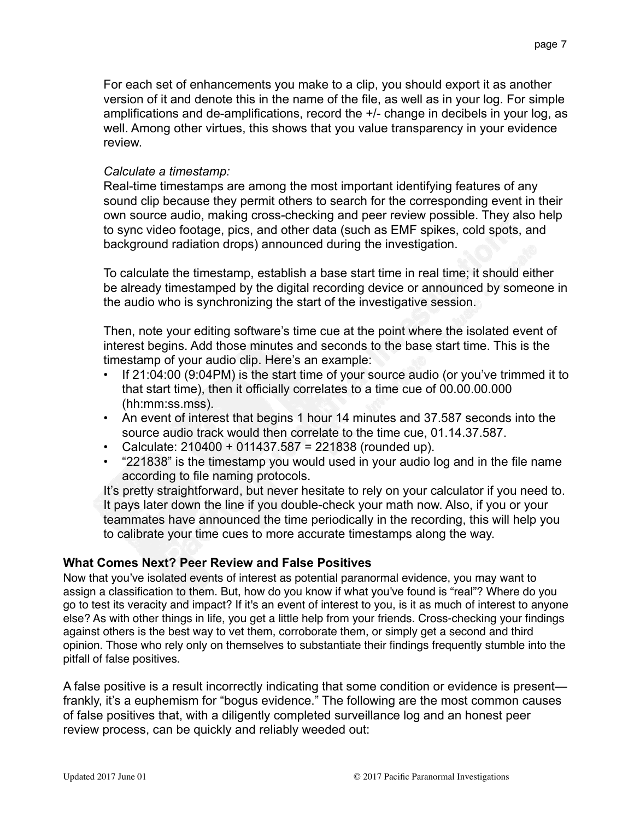For each set of enhancements you make to a clip, you should export it as another version of it and denote this in the name of the file, as well as in your log. For simple amplifications and de-amplifications, record the +/- change in decibels in your log, as well. Among other virtues, this shows that you value transparency in your evidence review.

#### *Calculate a timestamp:*

Real-time timestamps are among the most important identifying features of any sound clip because they permit others to search for the corresponding event in their own source audio, making cross-checking and peer review possible. They also help to sync video footage, pics, and other data (such as EMF spikes, cold spots, and background radiation drops) announced during the investigation.

To calculate the timestamp, establish a base start time in real time; it should either be already timestamped by the digital recording device or announced by someone in the audio who is synchronizing the start of the investigative session.

Then, note your editing software's time cue at the point where the isolated event of interest begins. Add those minutes and seconds to the base start time. This is the timestamp of your audio clip. Here's an example:

- If 21:04:00 (9:04PM) is the start time of your source audio (or you've trimmed it to that start time), then it officially correlates to a time cue of 00.00.00.000 (hh:mm:ss.mss).
- An event of interest that begins 1 hour 14 minutes and 37.587 seconds into the source audio track would then correlate to the time cue, 01.14.37.587.
- Calculate:  $210400 + 011437.587 = 221838$  (rounded up).
- "221838" is the timestamp you would used in your audio log and in the file name according to file naming protocols.

It's pretty straightforward, but never hesitate to rely on your calculator if you need to. It pays later down the line if you double-check your math now. Also, if you or your teammates have announced the time periodically in the recording, this will help you to calibrate your time cues to more accurate timestamps along the way.

## **What Comes Next? Peer Review and False Positives**

Now that you've isolated events of interest as potential paranormal evidence, you may want to assign a classification to them. But, how do you know if what you've found is "real"? Where do you go to test its veracity and impact? If it's an event of interest to you, is it as much of interest to anyone else? As with other things in life, you get a little help from your friends. Cross-checking your findings against others is the best way to vet them, corroborate them, or simply get a second and third opinion. Those who rely only on themselves to substantiate their findings frequently stumble into the pitfall of false positives.

A false positive is a result incorrectly indicating that some condition or evidence is present frankly, it's a euphemism for "bogus evidence." The following are the most common causes of false positives that, with a diligently completed surveillance log and an honest peer review process, can be quickly and reliably weeded out: